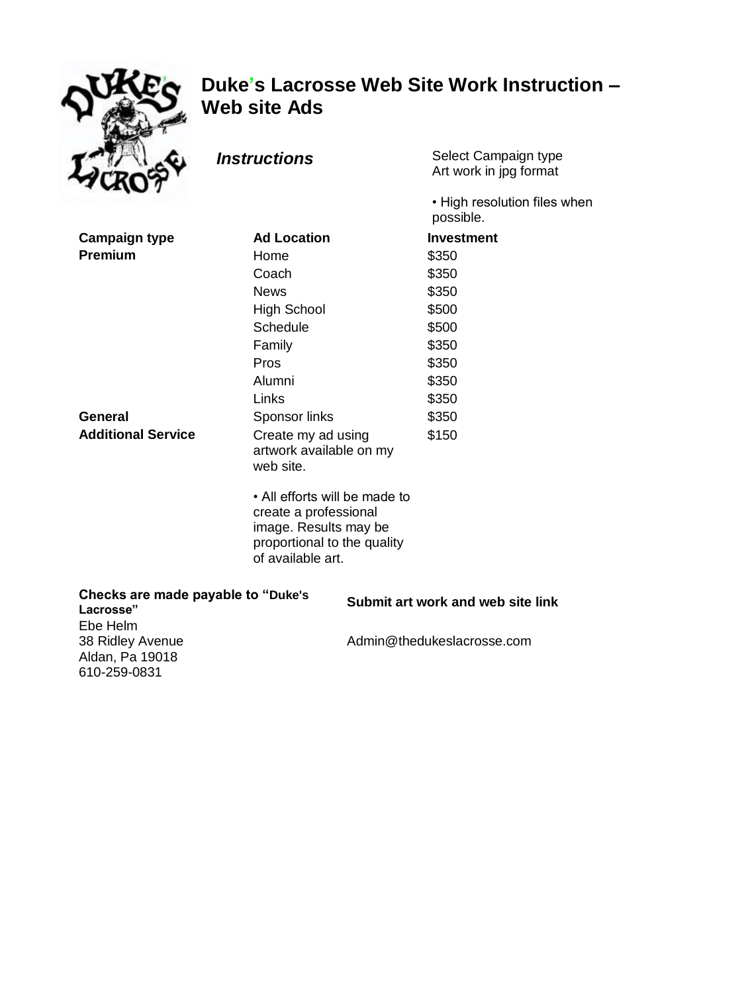

# **Duke's Lacrosse Web Site Work Instruction – Web site Ads**

**Instructions** Select Campaign type Art work in jpg format

> • High resolution files when possible.

| <b>Campaign type</b>      | <b>Ad Location</b>                                                                                                                  | <b>Investment</b> |
|---------------------------|-------------------------------------------------------------------------------------------------------------------------------------|-------------------|
| <b>Premium</b>            | Home                                                                                                                                | \$350             |
|                           | Coach                                                                                                                               | \$350             |
|                           | <b>News</b>                                                                                                                         | \$350             |
|                           | High School                                                                                                                         | \$500             |
|                           | Schedule                                                                                                                            | \$500             |
|                           | Family                                                                                                                              | \$350             |
|                           | Pros                                                                                                                                | \$350             |
|                           | Alumni                                                                                                                              | \$350             |
|                           | Links                                                                                                                               | \$350             |
| <b>General</b>            | Sponsor links                                                                                                                       | \$350             |
| <b>Additional Service</b> | Create my ad using<br>artwork available on my<br>web site.                                                                          | \$150             |
|                           | • All efforts will be made to<br>create a professional<br>image. Results may be<br>proportional to the quality<br>of available art. |                   |

| Checks are made payable to "Duke's<br>Lacrosse"                 | Submit art work and web site link |
|-----------------------------------------------------------------|-----------------------------------|
| Ebe Helm<br>38 Ridley Avenue<br>Aldan, Pa 19018<br>610-259-0831 | Admin@thedukeslacrosse.com        |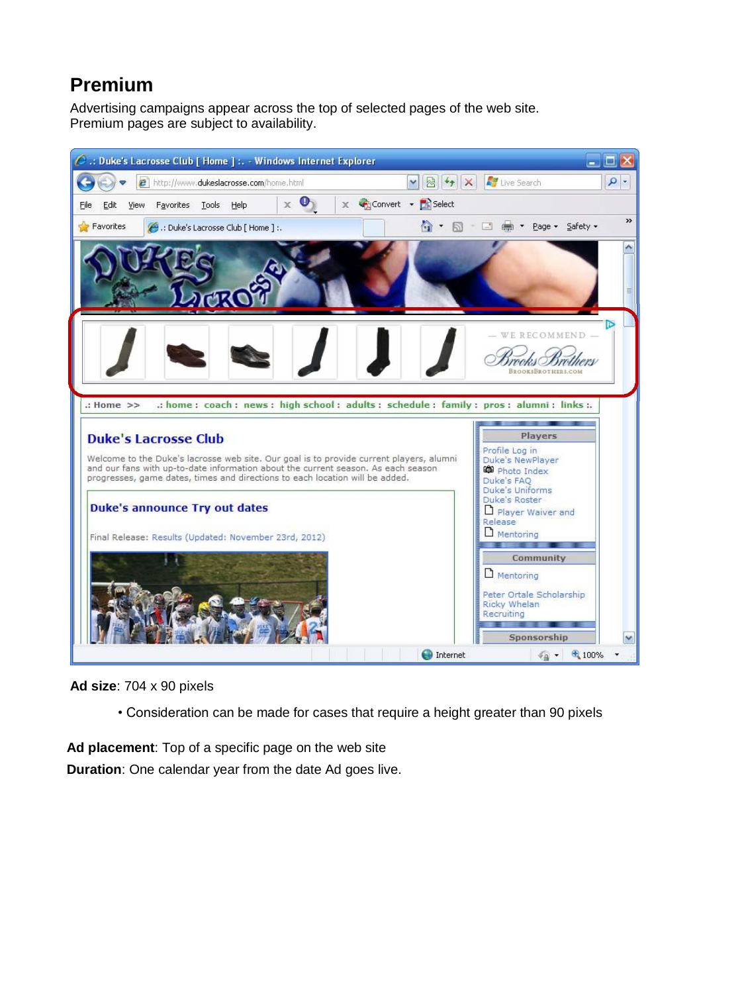# **Premium**

Advertising campaigns appear across the top of selected pages of the web site. Premium pages are subject to availability.



**Ad size**: 704 x 90 pixels

• Consideration can be made for cases that require a height greater than 90 pixels

**Duration**: One calendar year from the date Ad goes live. **Ad placement**: Top of a specific page on the web site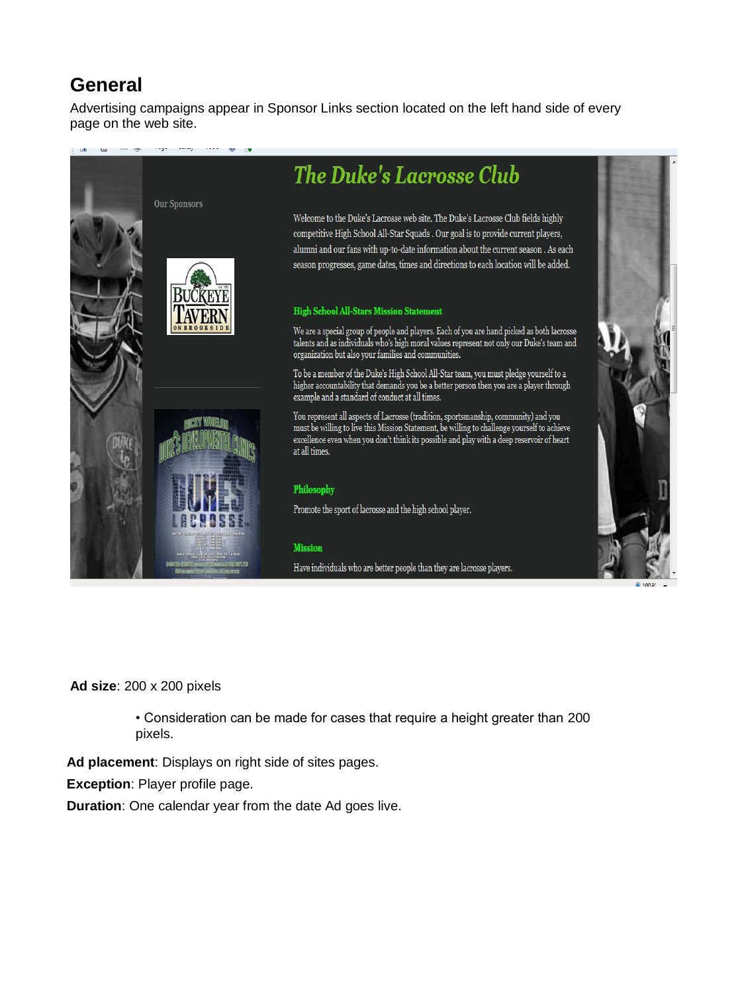## **General**

Advertising campaigns appear in Sponsor Links section located on the left hand side of every page on the web site.



**Ad size**: 200 x 200 pixels

• Consideration can be made for cases that require a height greater than 200 pixels.

**Ad placement**: Displays on right side of sites pages.

**Exception**: Player profile page.

**Duration**: One calendar year from the date Ad goes live.